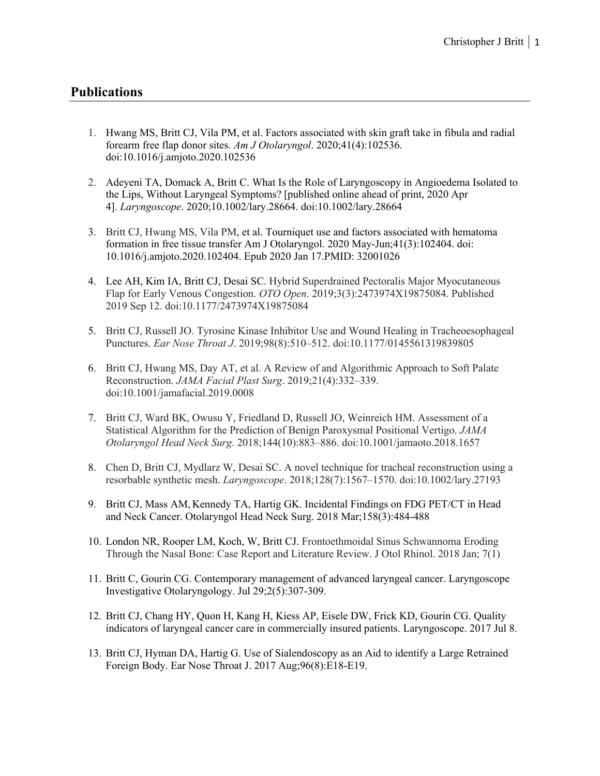## **Publications**

- 1. Hwang MS, Britt CJ, Vila PM, et al. Factors associated with skin graft take in fibula and radial forearm free flap donor sites. *Am J Otolaryngol*. 2020;41(4):102536. doi:10.1016/j.amjoto.2020.102536
- 2. Adeyeni TA, Domack A, Britt C. What Is the Role of Laryngoscopy in Angioedema Isolated to the Lips, Without Laryngeal Symptoms? [published online ahead of print, 2020 Apr 4]. *Laryngoscope*. 2020;10.1002/lary.28664. doi:10.1002/lary.28664
- 3. Britt CJ, Hwang MS, Vila PM, et al. Tourniquet use and factors associated with hematoma formation in free tissue transfer Am J Otolaryngol. 2020 May-Jun;41(3):102404. doi: 10.1016/j.amjoto.2020.102404. Epub 2020 Jan 17.PMID: 32001026
- 4. Lee AH, Kim IA, Britt CJ, Desai SC. Hybrid Superdrained Pectoralis Major Myocutaneous Flap for Early Venous Congestion. *OTO Open*. 2019;3(3):2473974X19875084. Published 2019 Sep 12. doi:10.1177/2473974X19875084
- 5. Britt CJ, Russell JO. Tyrosine Kinase Inhibitor Use and Wound Healing in Tracheoesophageal Punctures. *Ear Nose Throat J*. 2019;98(8):510–512. doi:10.1177/0145561319839805
- 6. Britt CJ, Hwang MS, Day AT, et al. A Review of and Algorithmic Approach to Soft Palate Reconstruction. *JAMA Facial Plast Surg*. 2019;21(4):332–339. doi:10.1001/jamafacial.2019.0008
- 7. Britt CJ, Ward BK, Owusu Y, Friedland D, Russell JO, Weinreich HM. Assessment of a Statistical Algorithm for the Prediction of Benign Paroxysmal Positional Vertigo. *JAMA Otolaryngol Head Neck Surg*. 2018;144(10):883–886. doi:10.1001/jamaoto.2018.1657
- 8. Chen D, Britt CJ, Mydlarz W, Desai SC. A novel technique for tracheal reconstruction using a resorbable synthetic mesh. *Laryngoscope*. 2018;128(7):1567–1570. doi:10.1002/lary.27193
- 9. Britt CJ, Mass AM, Kennedy TA, Hartig GK. Incidental Findings on FDG PET/CT in Head and Neck Cancer. Otolaryngol Head Neck Surg. 2018 Mar;158(3):484-488
- 10. London NR, Rooper LM, Koch, W, Britt CJ. Frontoethmoidal Sinus Schwannoma Eroding Through the Nasal Bone: Case Report and Literature Review. J Otol Rhinol. 2018 Jan; 7(1)
- 11. Britt C, Gourin CG. Contemporary management of advanced laryngeal cancer. Laryngoscope Investigative Otolaryngology. Jul 29;2(5):307-309.
- 12. Britt CJ, Chang HY, Quon H, Kang H, Kiess AP, Eisele DW, Frick KD, Gourin CG. Quality indicators of laryngeal cancer care in commercially insured patients. Laryngoscope. 2017 Jul 8.
- 13. Britt CJ, Hyman DA, Hartig G. Use of Sialendoscopy as an Aid to identify a Large Retrained Foreign Body. Ear Nose Throat J. 2017 Aug;96(8):E18-E19.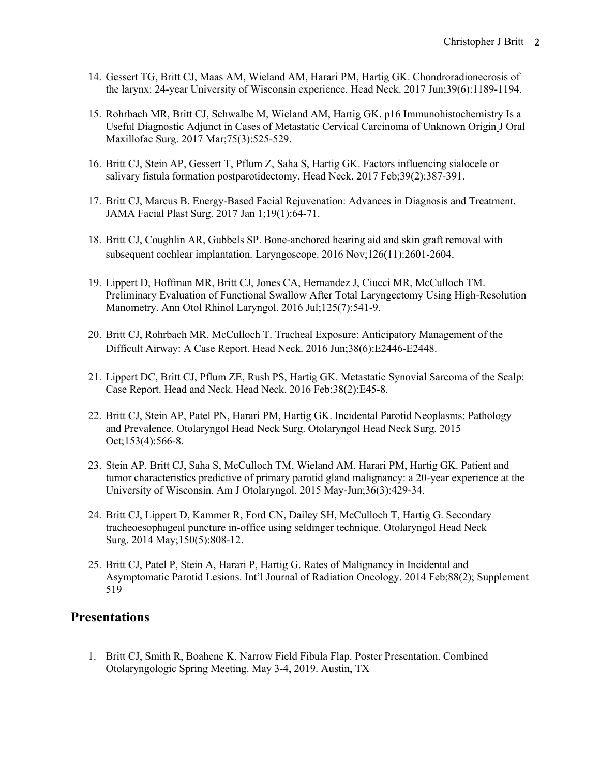- 14. Gessert TG, Britt CJ, Maas AM, Wieland AM, Harari PM, Hartig GK. Chondroradionecrosis of the larynx: 24-year University of Wisconsin experience. Head Neck. 2017 Jun;39(6):1189-1194.
- 15. Rohrbach MR, Britt CJ, Schwalbe M, Wieland AM, Hartig GK. p16 Immunohistochemistry Is a Useful Diagnostic Adjunct in Cases of Metastatic Cervical Carcinoma of Unknown Origin J Oral Maxillofac Surg. 2017 Mar;75(3):525-529.
- 16. Britt CJ, Stein AP, Gessert T, Pflum Z, Saha S, Hartig GK. Factors influencing sialocele or salivary fistula formation postparotidectomy. Head Neck. 2017 Feb;39(2):387-391.
- 17. Britt CJ, Marcus B. Energy-Based Facial Rejuvenation: Advances in Diagnosis and Treatment. JAMA Facial Plast Surg. 2017 Jan 1;19(1):64-71.
- 18. Britt CJ, Coughlin AR, Gubbels SP. Bone-anchored hearing aid and skin graft removal with subsequent cochlear implantation. Laryngoscope. 2016 Nov;126(11):2601-2604.
- 19. Lippert D, Hoffman MR, Britt CJ, Jones CA, Hernandez J, Ciucci MR, McCulloch TM. Preliminary Evaluation of Functional Swallow After Total Laryngectomy Using High-Resolution Manometry. Ann Otol Rhinol Laryngol. 2016 Jul;125(7):541-9.
- 20. Britt CJ, Rohrbach MR, McCulloch T. Tracheal Exposure: Anticipatory Management of the Difficult Airway: A Case Report. Head Neck. 2016 Jun;38(6):E2446-E2448.
- 21. Lippert DC, Britt CJ, Pflum ZE, Rush PS, Hartig GK. Metastatic Synovial Sarcoma of the Scalp: Case Report. Head and Neck. Head Neck. 2016 Feb;38(2):E45-8.
- 22. Britt CJ, Stein AP, Patel PN, Harari PM, Hartig GK. Incidental Parotid Neoplasms: Pathology and Prevalence. Otolaryngol Head Neck Surg. Otolaryngol Head Neck Surg. 2015 Oct;153(4):566-8.
- 23. Stein AP, Britt CJ, Saha S, McCulloch TM, Wieland AM, Harari PM, Hartig GK. Patient and tumor characteristics predictive of primary parotid gland malignancy: a 20-year experience at the University of Wisconsin. Am J Otolaryngol. 2015 May-Jun;36(3):429-34.
- 24. Britt CJ, Lippert D, Kammer R, Ford CN, Dailey SH, McCulloch T, Hartig G. Secondary tracheoesophageal puncture in-office using seldinger technique. Otolaryngol Head Neck Surg. 2014 May;150(5):808-12.
- 25. Britt CJ, Patel P, Stein A, Harari P, Hartig G. Rates of Malignancy in Incidental and Asymptomatic Parotid Lesions. Int'l Journal of Radiation Oncology. 2014 Feb;88(2); Supplement 519

## **Presentations**

1. Britt CJ, Smith R, Boahene K. Narrow Field Fibula Flap. Poster Presentation. Combined Otolaryngologic Spring Meeting. May 3-4, 2019. Austin, TX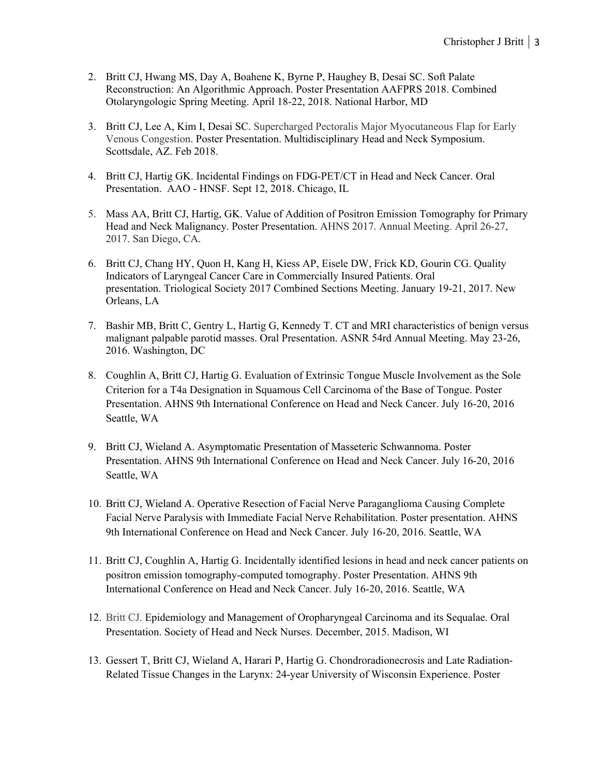- 2. Britt CJ, Hwang MS, Day A, Boahene K, Byrne P, Haughey B, Desai SC. Soft Palate Reconstruction: An Algorithmic Approach. Poster Presentation AAFPRS 2018. Combined Otolaryngologic Spring Meeting. April 18-22, 2018. National Harbor, MD
- 3. Britt CJ, Lee A, Kim I, Desai SC. Supercharged Pectoralis Major Myocutaneous Flap for Early Venous Congestion. Poster Presentation. Multidisciplinary Head and Neck Symposium. Scottsdale, AZ. Feb 2018.
- 4. Britt CJ, Hartig GK. Incidental Findings on FDG-PET/CT in Head and Neck Cancer. Oral Presentation. AAO - HNSF. Sept 12, 2018. Chicago, IL
- 5. Mass AA, Britt CJ, Hartig, GK. Value of Addition of Positron Emission Tomography for Primary Head and Neck Malignancy. Poster Presentation. AHNS 2017. Annual Meeting. April 26-27, 2017. San Diego, CA.
- 6. Britt CJ, Chang HY, Quon H, Kang H, Kiess AP, Eisele DW, Frick KD, Gourin CG. Quality Indicators of Laryngeal Cancer Care in Commercially Insured Patients. Oral presentation. Triological Society 2017 Combined Sections Meeting. January 19-21, 2017. New Orleans, LA
- 7. Bashir MB, Britt C, Gentry L, Hartig G, Kennedy T. CT and MRI characteristics of benign versus malignant palpable parotid masses. Oral Presentation. ASNR 54rd Annual Meeting. May 23-26, 2016. Washington, DC
- 8. Coughlin A, Britt CJ, Hartig G. Evaluation of Extrinsic Tongue Muscle Involvement as the Sole Criterion for a T4a Designation in Squamous Cell Carcinoma of the Base of Tongue. Poster Presentation. AHNS 9th International Conference on Head and Neck Cancer. July 16-20, 2016 Seattle, WA
- 9. Britt CJ, Wieland A. Asymptomatic Presentation of Masseteric Schwannoma. Poster Presentation. AHNS 9th International Conference on Head and Neck Cancer. July 16-20, 2016 Seattle, WA
- 10. Britt CJ, Wieland A. Operative Resection of Facial Nerve Paraganglioma Causing Complete Facial Nerve Paralysis with Immediate Facial Nerve Rehabilitation. Poster presentation. AHNS 9th International Conference on Head and Neck Cancer. July 16-20, 2016. Seattle, WA
- 11. Britt CJ, Coughlin A, Hartig G. Incidentally identified lesions in head and neck cancer patients on positron emission tomography-computed tomography. Poster Presentation. AHNS 9th International Conference on Head and Neck Cancer. July 16-20, 2016. Seattle, WA
- 12. Britt CJ. Epidemiology and Management of Oropharyngeal Carcinoma and its Sequalae. Oral Presentation. Society of Head and Neck Nurses. December, 2015. Madison, WI
- 13. Gessert T, Britt CJ, Wieland A, Harari P, Hartig G. Chondroradionecrosis and Late Radiation-Related Tissue Changes in the Larynx: 24-year University of Wisconsin Experience. Poster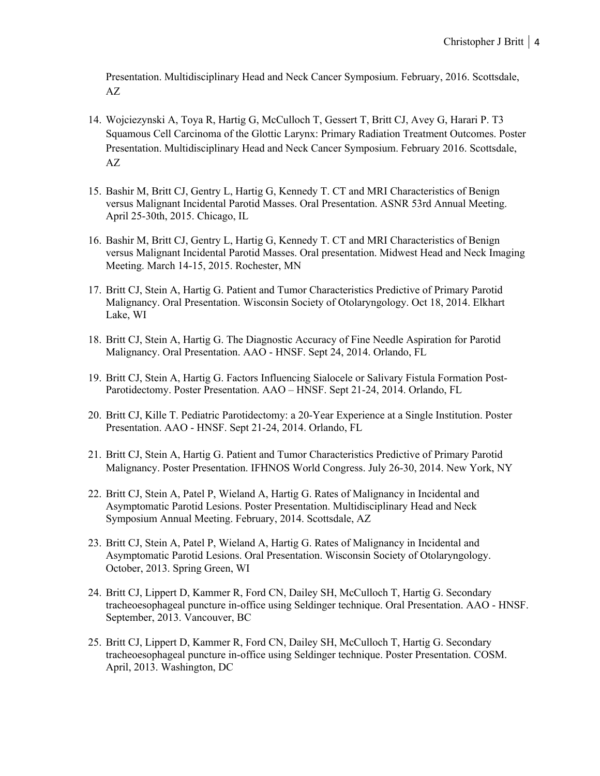Presentation. Multidisciplinary Head and Neck Cancer Symposium. February, 2016. Scottsdale, AZ

- 14. Wojciezynski A, Toya R, Hartig G, McCulloch T, Gessert T, Britt CJ, Avey G, Harari P. T3 Squamous Cell Carcinoma of the Glottic Larynx: Primary Radiation Treatment Outcomes. Poster Presentation. Multidisciplinary Head and Neck Cancer Symposium. February 2016. Scottsdale, AZ
- 15. Bashir M, Britt CJ, Gentry L, Hartig G, Kennedy T. CT and MRI Characteristics of Benign versus Malignant Incidental Parotid Masses. Oral Presentation. ASNR 53rd Annual Meeting. April 25-30th, 2015. Chicago, IL
- 16. Bashir M, Britt CJ, Gentry L, Hartig G, Kennedy T. CT and MRI Characteristics of Benign versus Malignant Incidental Parotid Masses. Oral presentation. Midwest Head and Neck Imaging Meeting. March 14-15, 2015. Rochester, MN
- 17. Britt CJ, Stein A, Hartig G. Patient and Tumor Characteristics Predictive of Primary Parotid Malignancy. Oral Presentation. Wisconsin Society of Otolaryngology. Oct 18, 2014. Elkhart Lake, WI
- 18. Britt CJ, Stein A, Hartig G. The Diagnostic Accuracy of Fine Needle Aspiration for Parotid Malignancy. Oral Presentation. AAO - HNSF. Sept 24, 2014. Orlando, FL
- 19. Britt CJ, Stein A, Hartig G. Factors Influencing Sialocele or Salivary Fistula Formation Post-Parotidectomy. Poster Presentation. AAO – HNSF. Sept 21-24, 2014. Orlando, FL
- 20. Britt CJ, Kille T. Pediatric Parotidectomy: a 20-Year Experience at a Single Institution. Poster Presentation. AAO - HNSF. Sept 21-24, 2014. Orlando, FL
- 21. Britt CJ, Stein A, Hartig G. Patient and Tumor Characteristics Predictive of Primary Parotid Malignancy. Poster Presentation. IFHNOS World Congress. July 26-30, 2014. New York, NY
- 22. Britt CJ, Stein A, Patel P, Wieland A, Hartig G. Rates of Malignancy in Incidental and Asymptomatic Parotid Lesions. Poster Presentation. Multidisciplinary Head and Neck Symposium Annual Meeting. February, 2014. Scottsdale, AZ
- 23. Britt CJ, Stein A, Patel P, Wieland A, Hartig G. Rates of Malignancy in Incidental and Asymptomatic Parotid Lesions. Oral Presentation. Wisconsin Society of Otolaryngology. October, 2013. Spring Green, WI
- 24. Britt CJ, Lippert D, Kammer R, Ford CN, Dailey SH, McCulloch T, Hartig G. Secondary tracheoesophageal puncture in-office using Seldinger technique. Oral Presentation. AAO - HNSF. September, 2013. Vancouver, BC
- 25. Britt CJ, Lippert D, Kammer R, Ford CN, Dailey SH, McCulloch T, Hartig G. Secondary tracheoesophageal puncture in-office using Seldinger technique. Poster Presentation. COSM. April, 2013. Washington, DC